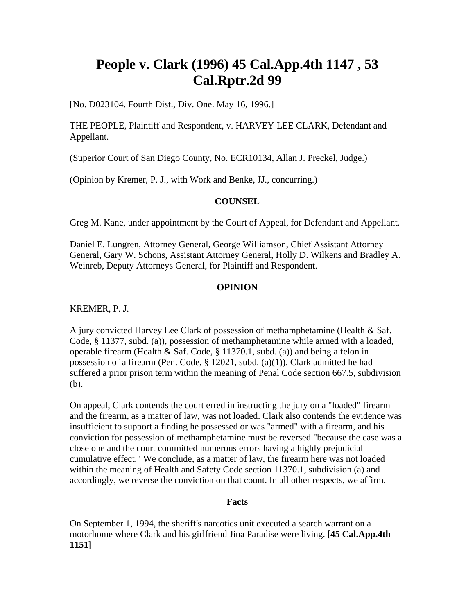# **People v. Clark (1996) 45 Cal.App.4th 1147 , 53 Cal.Rptr.2d 99**

[No. D023104. Fourth Dist., Div. One. May 16, 1996.]

THE PEOPLE, Plaintiff and Respondent, v. HARVEY LEE CLARK, Defendant and Appellant.

(Superior Court of San Diego County, No. ECR10134, Allan J. Preckel, Judge.)

(Opinion by Kremer, P. J., with Work and Benke, JJ., concurring.)

#### **COUNSEL**

Greg M. Kane, under appointment by the Court of Appeal, for Defendant and Appellant.

Daniel E. Lungren, Attorney General, George Williamson, Chief Assistant Attorney General, Gary W. Schons, Assistant Attorney General, Holly D. Wilkens and Bradley A. Weinreb, Deputy Attorneys General, for Plaintiff and Respondent.

#### **OPINION**

KREMER, P. J.

A jury convicted Harvey Lee Clark of possession of methamphetamine (Health & Saf. Code, § 11377, subd. (a)), possession of methamphetamine while armed with a loaded, operable firearm (Health & Saf. Code, § 11370.1, subd. (a)) and being a felon in possession of a firearm (Pen. Code, § 12021, subd. (a)(1)). Clark admitted he had suffered a prior prison term within the meaning of Penal Code section 667.5, subdivision (b).

On appeal, Clark contends the court erred in instructing the jury on a "loaded" firearm and the firearm, as a matter of law, was not loaded. Clark also contends the evidence was insufficient to support a finding he possessed or was "armed" with a firearm, and his conviction for possession of methamphetamine must be reversed "because the case was a close one and the court committed numerous errors having a highly prejudicial cumulative effect." We conclude, as a matter of law, the firearm here was not loaded within the meaning of Health and Safety Code section 11370.1, subdivision (a) and accordingly, we reverse the conviction on that count. In all other respects, we affirm.

#### **Facts**

On September 1, 1994, the sheriff's narcotics unit executed a search warrant on a motorhome where Clark and his girlfriend Jina Paradise were living. **[45 Cal.App.4th 1151]**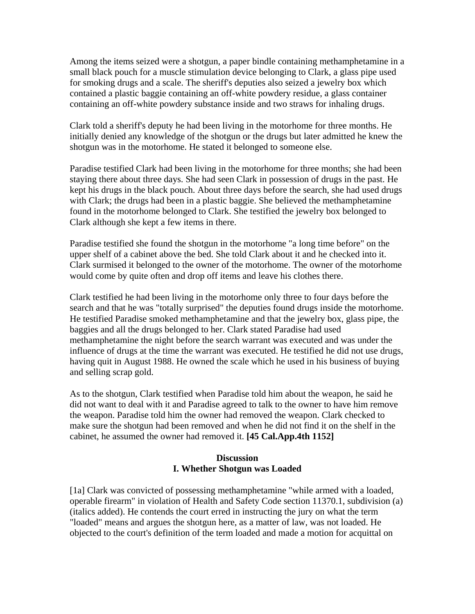Among the items seized were a shotgun, a paper bindle containing methamphetamine in a small black pouch for a muscle stimulation device belonging to Clark, a glass pipe used for smoking drugs and a scale. The sheriff's deputies also seized a jewelry box which contained a plastic baggie containing an off-white powdery residue, a glass container containing an off-white powdery substance inside and two straws for inhaling drugs.

Clark told a sheriff's deputy he had been living in the motorhome for three months. He initially denied any knowledge of the shotgun or the drugs but later admitted he knew the shotgun was in the motorhome. He stated it belonged to someone else.

Paradise testified Clark had been living in the motorhome for three months; she had been staying there about three days. She had seen Clark in possession of drugs in the past. He kept his drugs in the black pouch. About three days before the search, she had used drugs with Clark; the drugs had been in a plastic baggie. She believed the methamphetamine found in the motorhome belonged to Clark. She testified the jewelry box belonged to Clark although she kept a few items in there.

Paradise testified she found the shotgun in the motorhome "a long time before" on the upper shelf of a cabinet above the bed. She told Clark about it and he checked into it. Clark surmised it belonged to the owner of the motorhome. The owner of the motorhome would come by quite often and drop off items and leave his clothes there.

Clark testified he had been living in the motorhome only three to four days before the search and that he was "totally surprised" the deputies found drugs inside the motorhome. He testified Paradise smoked methamphetamine and that the jewelry box, glass pipe, the baggies and all the drugs belonged to her. Clark stated Paradise had used methamphetamine the night before the search warrant was executed and was under the influence of drugs at the time the warrant was executed. He testified he did not use drugs, having quit in August 1988. He owned the scale which he used in his business of buying and selling scrap gold.

As to the shotgun, Clark testified when Paradise told him about the weapon, he said he did not want to deal with it and Paradise agreed to talk to the owner to have him remove the weapon. Paradise told him the owner had removed the weapon. Clark checked to make sure the shotgun had been removed and when he did not find it on the shelf in the cabinet, he assumed the owner had removed it. **[45 Cal.App.4th 1152]**

#### **Discussion I. Whether Shotgun was Loaded**

[1a] Clark was convicted of possessing methamphetamine "while armed with a loaded, operable firearm" in violation of Health and Safety Code section 11370.1, subdivision (a) (italics added). He contends the court erred in instructing the jury on what the term "loaded" means and argues the shotgun here, as a matter of law, was not loaded. He objected to the court's definition of the term loaded and made a motion for acquittal on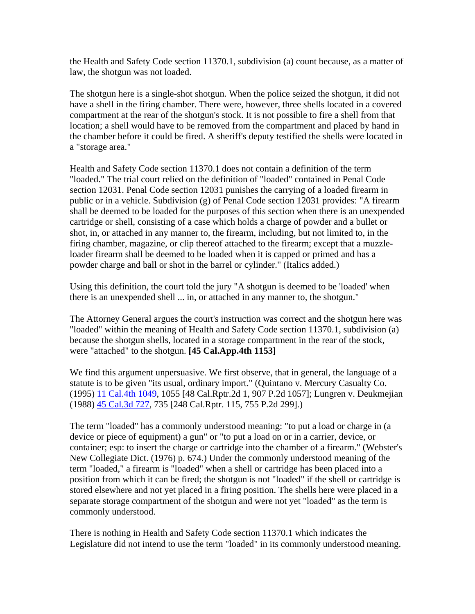the Health and Safety Code section 11370.1, subdivision (a) count because, as a matter of law, the shotgun was not loaded.

The shotgun here is a single-shot shotgun. When the police seized the shotgun, it did not have a shell in the firing chamber. There were, however, three shells located in a covered compartment at the rear of the shotgun's stock. It is not possible to fire a shell from that location; a shell would have to be removed from the compartment and placed by hand in the chamber before it could be fired. A sheriff's deputy testified the shells were located in a "storage area."

Health and Safety Code section 11370.1 does not contain a definition of the term "loaded." The trial court relied on the definition of "loaded" contained in Penal Code section 12031. Penal Code section 12031 punishes the carrying of a loaded firearm in public or in a vehicle. Subdivision (g) of Penal Code section 12031 provides: "A firearm shall be deemed to be loaded for the purposes of this section when there is an unexpended cartridge or shell, consisting of a case which holds a charge of powder and a bullet or shot, in, or attached in any manner to, the firearm, including, but not limited to, in the firing chamber, magazine, or clip thereof attached to the firearm; except that a muzzleloader firearm shall be deemed to be loaded when it is capped or primed and has a powder charge and ball or shot in the barrel or cylinder." (Italics added.)

Using this definition, the court told the jury "A shotgun is deemed to be 'loaded' when there is an unexpended shell ... in, or attached in any manner to, the shotgun."

The Attorney General argues the court's instruction was correct and the shotgun here was "loaded" within the meaning of Health and Safety Code section 11370.1, subdivision (a) because the shotgun shells, located in a storage compartment in the rear of the stock, were "attached" to the shotgun. **[45 Cal.App.4th 1153]**

We find this argument unpersuasive. We first observe, that in general, the language of a statute is to be given "its usual, ordinary import." (Quintano v. Mercury Casualty Co. (1995) [11 Cal.4th 1049](http://login.findlaw.com/scripts/callaw?dest=ca/cal4th/11/1049.html), 1055 [48 Cal.Rptr.2d 1, 907 P.2d 1057]; Lungren v. Deukmejian (1988) [45 Cal.3d 727,](http://login.findlaw.com/scripts/callaw?dest=ca/cal3d/45/727.html) 735 [248 Cal.Rptr. 115, 755 P.2d 299].)

The term "loaded" has a commonly understood meaning: "to put a load or charge in (a device or piece of equipment) a gun" or "to put a load on or in a carrier, device, or container; esp: to insert the charge or cartridge into the chamber of a firearm." (Webster's New Collegiate Dict. (1976) p. 674.) Under the commonly understood meaning of the term "loaded," a firearm is "loaded" when a shell or cartridge has been placed into a position from which it can be fired; the shotgun is not "loaded" if the shell or cartridge is stored elsewhere and not yet placed in a firing position. The shells here were placed in a separate storage compartment of the shotgun and were not yet "loaded" as the term is commonly understood.

There is nothing in Health and Safety Code section 11370.1 which indicates the Legislature did not intend to use the term "loaded" in its commonly understood meaning.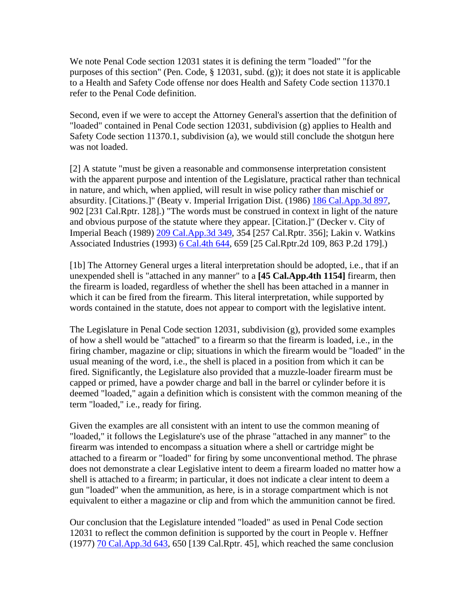We note Penal Code section 12031 states it is defining the term "loaded" "for the purposes of this section" (Pen. Code, § 12031, subd. (g)); it does not state it is applicable to a Health and Safety Code offense nor does Health and Safety Code section 11370.1 refer to the Penal Code definition.

Second, even if we were to accept the Attorney General's assertion that the definition of "loaded" contained in Penal Code section 12031, subdivision (g) applies to Health and Safety Code section 11370.1, subdivision (a), we would still conclude the shotgun here was not loaded.

[2] A statute "must be given a reasonable and commonsense interpretation consistent with the apparent purpose and intention of the Legislature, practical rather than technical in nature, and which, when applied, will result in wise policy rather than mischief or absurdity. [Citations.]" (Beaty v. Imperial Irrigation Dist. (1986) [186 Cal.App.3d 897](http://login.findlaw.com/scripts/callaw?dest=ca/calapp3d/186/897.html), 902 [231 Cal.Rptr. 128].) "The words must be construed in context in light of the nature and obvious purpose of the statute where they appear. [Citation.]" (Decker v. City of Imperial Beach (1989) [209 Cal.App.3d 349,](http://login.findlaw.com/scripts/callaw?dest=ca/calapp3d/209/349.html) 354 [257 Cal.Rptr. 356]; Lakin v. Watkins Associated Industries (1993) [6 Cal.4th 644,](http://login.findlaw.com/scripts/callaw?dest=ca/cal4th/6/644.html) 659 [25 Cal.Rptr.2d 109, 863 P.2d 179].)

[1b] The Attorney General urges a literal interpretation should be adopted, i.e., that if an unexpended shell is "attached in any manner" to a **[45 Cal.App.4th 1154]** firearm, then the firearm is loaded, regardless of whether the shell has been attached in a manner in which it can be fired from the firearm. This literal interpretation, while supported by words contained in the statute, does not appear to comport with the legislative intent.

The Legislature in Penal Code section 12031, subdivision (g), provided some examples of how a shell would be "attached" to a firearm so that the firearm is loaded, i.e., in the firing chamber, magazine or clip; situations in which the firearm would be "loaded" in the usual meaning of the word, i.e., the shell is placed in a position from which it can be fired. Significantly, the Legislature also provided that a muzzle-loader firearm must be capped or primed, have a powder charge and ball in the barrel or cylinder before it is deemed "loaded," again a definition which is consistent with the common meaning of the term "loaded," i.e., ready for firing.

Given the examples are all consistent with an intent to use the common meaning of "loaded," it follows the Legislature's use of the phrase "attached in any manner" to the firearm was intended to encompass a situation where a shell or cartridge might be attached to a firearm or "loaded" for firing by some unconventional method. The phrase does not demonstrate a clear Legislative intent to deem a firearm loaded no matter how a shell is attached to a firearm; in particular, it does not indicate a clear intent to deem a gun "loaded" when the ammunition, as here, is in a storage compartment which is not equivalent to either a magazine or clip and from which the ammunition cannot be fired.

Our conclusion that the Legislature intended "loaded" as used in Penal Code section 12031 to reflect the common definition is supported by the court in People v. Heffner (1977) [70 Cal.App.3d 643](http://login.findlaw.com/scripts/callaw?dest=ca/calapp3d/70/643.html), 650 [139 Cal.Rptr. 45], which reached the same conclusion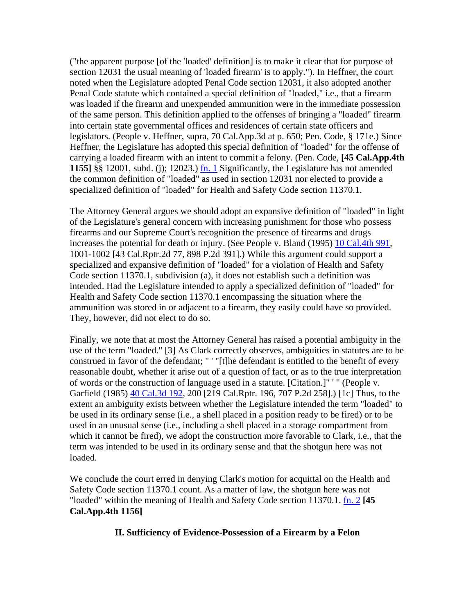("the apparent purpose [of the 'loaded' definition] is to make it clear that for purpose of section 12031 the usual meaning of 'loaded firearm' is to apply."). In Heffner, the court noted when the Legislature adopted Penal Code section 12031, it also adopted another Penal Code statute which contained a special definition of "loaded," i.e., that a firearm was loaded if the firearm and unexpended ammunition were in the immediate possession of the same person. This definition applied to the offenses of bringing a "loaded" firearm into certain state governmental offices and residences of certain state officers and legislators. (People v. Heffner, supra, 70 Cal.App.3d at p. 650; Pen. Code, § 171e.) Since Heffner, the Legislature has adopted this special definition of "loaded" for the offense of carrying a loaded firearm with an intent to commit a felony. (Pen. Code, **[45 Cal.App.4th 1155]** §§ 12001, subd. (j); 12023.) fn. 1 Significantly, the Legislature has not amended the common definition of "loaded" as used in section 12031 nor elected to provide a specialized definition of "loaded" for Health and Safety Code section 11370.1.

The Attorney General argues we should adopt an expansive definition of "loaded" in light of the Legislature's general concern with increasing punishment for those who possess firearms and our Supreme Court's recognition the presence of firearms and drugs increases the potential for death or injury. (See People v. Bland (1995) [10 Cal.4th 991,](http://login.findlaw.com/scripts/callaw?dest=ca/cal4th/10/991.html) 1001-1002 [43 Cal.Rptr.2d 77, 898 P.2d 391].) While this argument could support a specialized and expansive definition of "loaded" for a violation of Health and Safety Code section 11370.1, subdivision (a), it does not establish such a definition was intended. Had the Legislature intended to apply a specialized definition of "loaded" for Health and Safety Code section 11370.1 encompassing the situation where the ammunition was stored in or adjacent to a firearm, they easily could have so provided. They, however, did not elect to do so.

Finally, we note that at most the Attorney General has raised a potential ambiguity in the use of the term "loaded." [3] As Clark correctly observes, ambiguities in statutes are to be construed in favor of the defendant; " ' "[t]he defendant is entitled to the benefit of every reasonable doubt, whether it arise out of a question of fact, or as to the true interpretation of words or the construction of language used in a statute. [Citation.]" ' " (People v. Garfield (1985) [40 Cal.3d 192,](http://login.findlaw.com/scripts/callaw?dest=ca/cal3d/40/192.html) 200 [219 Cal.Rptr. 196, 707 P.2d 258].) [1c] Thus, to the extent an ambiguity exists between whether the Legislature intended the term "loaded" to be used in its ordinary sense (i.e., a shell placed in a position ready to be fired) or to be used in an unusual sense (i.e., including a shell placed in a storage compartment from which it cannot be fired), we adopt the construction more favorable to Clark, i.e., that the term was intended to be used in its ordinary sense and that the shotgun here was not loaded.

We conclude the court erred in denying Clark's motion for acquittal on the Health and Safety Code section 11370.1 count. As a matter of law, the shotgun here was not "loaded" within the meaning of Health and Safety Code section 11370.1. fn. 2 **[45 Cal.App.4th 1156]**

## **II. Sufficiency of Evidence-Possession of a Firearm by a Felon**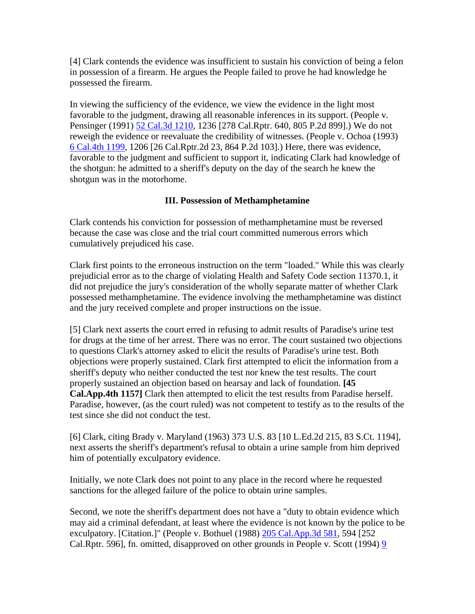[4] Clark contends the evidence was insufficient to sustain his conviction of being a felon in possession of a firearm. He argues the People failed to prove he had knowledge he possessed the firearm.

In viewing the sufficiency of the evidence, we view the evidence in the light most favorable to the judgment, drawing all reasonable inferences in its support. (People v. Pensinger (1991) [52 Cal.3d 1210,](http://login.findlaw.com/scripts/callaw?dest=ca/cal3d/52/1210.html) 1236 [278 Cal.Rptr. 640, 805 P.2d 899].) We do not reweigh the evidence or reevaluate the credibility of witnesses. (People v. Ochoa (1993) [6 Cal.4th 1199,](http://login.findlaw.com/scripts/callaw?dest=ca/cal4th/6/1199.html) 1206 [26 Cal.Rptr.2d 23, 864 P.2d 103].) Here, there was evidence, favorable to the judgment and sufficient to support it, indicating Clark had knowledge of the shotgun: he admitted to a sheriff's deputy on the day of the search he knew the shotgun was in the motorhome.

# **III. Possession of Methamphetamine**

Clark contends his conviction for possession of methamphetamine must be reversed because the case was close and the trial court committed numerous errors which cumulatively prejudiced his case.

Clark first points to the erroneous instruction on the term "loaded." While this was clearly prejudicial error as to the charge of violating Health and Safety Code section 11370.1, it did not prejudice the jury's consideration of the wholly separate matter of whether Clark possessed methamphetamine. The evidence involving the methamphetamine was distinct and the jury received complete and proper instructions on the issue.

[5] Clark next asserts the court erred in refusing to admit results of Paradise's urine test for drugs at the time of her arrest. There was no error. The court sustained two objections to questions Clark's attorney asked to elicit the results of Paradise's urine test. Both objections were properly sustained. Clark first attempted to elicit the information from a sheriff's deputy who neither conducted the test nor knew the test results. The court properly sustained an objection based on hearsay and lack of foundation. **[45 Cal.App.4th 1157]** Clark then attempted to elicit the test results from Paradise herself. Paradise, however, (as the court ruled) was not competent to testify as to the results of the test since she did not conduct the test.

[6] Clark, citing Brady v. Maryland (1963) 373 U.S. 83 [10 L.Ed.2d 215, 83 S.Ct. 1194], next asserts the sheriff's department's refusal to obtain a urine sample from him deprived him of potentially exculpatory evidence.

Initially, we note Clark does not point to any place in the record where he requested sanctions for the alleged failure of the police to obtain urine samples.

Second, we note the sheriff's department does not have a "duty to obtain evidence which may aid a criminal defendant, at least where the evidence is not known by the police to be exculpatory. [Citation.]" (People v. Bothuel (1988) [205 Cal.App.3d 581](http://login.findlaw.com/scripts/callaw?dest=ca/calapp3d/205/581.html), 594 [252 Cal.Rptr. 596], fn. omitted, disapproved on other grounds in People v. Scott (1994) [9](http://login.findlaw.com/scripts/callaw?dest=ca/cal4th/9/331.html)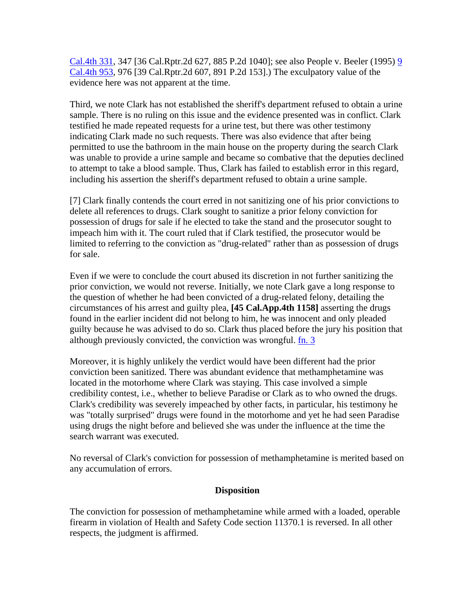[Cal.4th 331,](http://login.findlaw.com/scripts/callaw?dest=ca/cal4th/9/331.html) 347 [36 Cal.Rptr.2d 627, 885 P.2d 1040]; see also People v. Beeler (1995) [9](http://login.findlaw.com/scripts/callaw?dest=ca/cal4th/9/953.html)  [Cal.4th 953,](http://login.findlaw.com/scripts/callaw?dest=ca/cal4th/9/953.html) 976 [39 Cal.Rptr.2d 607, 891 P.2d 153].) The exculpatory value of the evidence here was not apparent at the time.

Third, we note Clark has not established the sheriff's department refused to obtain a urine sample. There is no ruling on this issue and the evidence presented was in conflict. Clark testified he made repeated requests for a urine test, but there was other testimony indicating Clark made no such requests. There was also evidence that after being permitted to use the bathroom in the main house on the property during the search Clark was unable to provide a urine sample and became so combative that the deputies declined to attempt to take a blood sample. Thus, Clark has failed to establish error in this regard, including his assertion the sheriff's department refused to obtain a urine sample.

[7] Clark finally contends the court erred in not sanitizing one of his prior convictions to delete all references to drugs. Clark sought to sanitize a prior felony conviction for possession of drugs for sale if he elected to take the stand and the prosecutor sought to impeach him with it. The court ruled that if Clark testified, the prosecutor would be limited to referring to the conviction as "drug-related" rather than as possession of drugs for sale.

Even if we were to conclude the court abused its discretion in not further sanitizing the prior conviction, we would not reverse. Initially, we note Clark gave a long response to the question of whether he had been convicted of a drug-related felony, detailing the circumstances of his arrest and guilty plea, **[45 Cal.App.4th 1158]** asserting the drugs found in the earlier incident did not belong to him, he was innocent and only pleaded guilty because he was advised to do so. Clark thus placed before the jury his position that although previously convicted, the conviction was wrongful.  $\frac{\text{fn}}{\text{fn}}$ . 3

Moreover, it is highly unlikely the verdict would have been different had the prior conviction been sanitized. There was abundant evidence that methamphetamine was located in the motorhome where Clark was staying. This case involved a simple credibility contest, i.e., whether to believe Paradise or Clark as to who owned the drugs. Clark's credibility was severely impeached by other facts, in particular, his testimony he was "totally surprised" drugs were found in the motorhome and yet he had seen Paradise using drugs the night before and believed she was under the influence at the time the search warrant was executed.

No reversal of Clark's conviction for possession of methamphetamine is merited based on any accumulation of errors.

## **Disposition**

The conviction for possession of methamphetamine while armed with a loaded, operable firearm in violation of Health and Safety Code section 11370.1 is reversed. In all other respects, the judgment is affirmed.